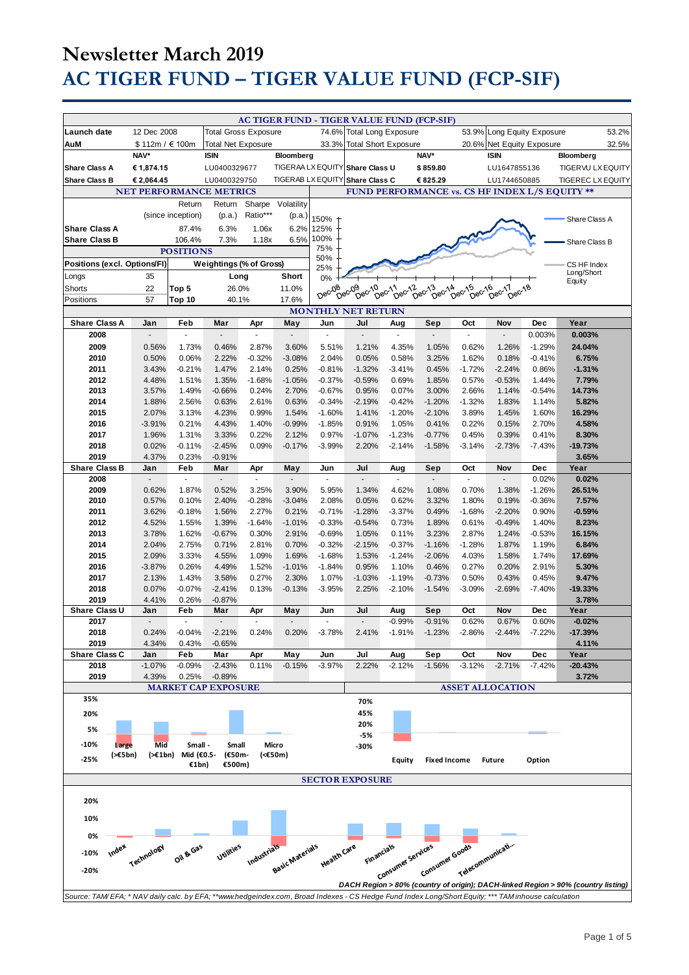|                                                                                                                                                                                                                                          | 12 Dec 2008                    |                             |                             |                       |                          |             | AC TIGER FUND - TIGER VALUE FUND (FCP-SIF) |                             |                                              |                  |                            |               |                                                |       |
|------------------------------------------------------------------------------------------------------------------------------------------------------------------------------------------------------------------------------------------|--------------------------------|-----------------------------|-----------------------------|-----------------------|--------------------------|-------------|--------------------------------------------|-----------------------------|----------------------------------------------|------------------|----------------------------|---------------|------------------------------------------------|-------|
| Launch date                                                                                                                                                                                                                              |                                |                             | <b>Total Gross Exposure</b> |                       |                          |             | 74.6% Total Long Exposure                  |                             |                                              |                  | 53.9% Long Equity Exposure |               |                                                | 53.2% |
| AuM                                                                                                                                                                                                                                      | \$112m / €100m                 |                             | <b>Total Net Exposure</b>   |                       |                          | 33.3%       |                                            | <b>Total Short Exposure</b> |                                              |                  | 20.6% Net Equity Exposure  |               |                                                | 32.5% |
|                                                                                                                                                                                                                                          | NAV*                           |                             | <b>ISIN</b>                 |                       | Bloomberg                |             |                                            |                             | NAV*                                         |                  | <b>ISIN</b>                |               | Bloomberg                                      |       |
| <b>Share Class A</b>                                                                                                                                                                                                                     | € 1,874.15                     |                             | LU0400329677                |                       |                          |             | TIGERAA LX EQUITY Share Class U            |                             | \$859.80                                     |                  | LU1647855136               |               | TIGERVU LX EQUITY                              |       |
| <b>Share Class B</b>                                                                                                                                                                                                                     | € 2,064.45                     |                             | LU0400329750                |                       | <b>TIGERAB LX EQUITY</b> |             | <b>Share Class C</b>                       |                             | € 825.29                                     |                  | LU1744650885               |               | <b>TIGEREC LX EQUITY</b>                       |       |
|                                                                                                                                                                                                                                          | <b>NET PERFORMANCE METRICS</b> |                             |                             |                       |                          |             |                                            |                             |                                              |                  |                            |               | FUND PERFORMANCE vs. CS HF INDEX L/S EQUITY ** |       |
|                                                                                                                                                                                                                                          |                                | Return                      | Return                      |                       | Sharpe Volatility        |             |                                            |                             |                                              |                  |                            |               |                                                |       |
|                                                                                                                                                                                                                                          |                                | (since inception)           | (p.a.)                      | Ratio***              | (p.a.)                   | 150%        |                                            |                             |                                              |                  |                            |               |                                                |       |
| <b>Share Class A</b>                                                                                                                                                                                                                     |                                | 87.4%                       | 6.3%                        | 1.06x                 | 6.2%                     | 125%        |                                            |                             |                                              |                  |                            |               | Share Class A                                  |       |
| <b>Share Class B</b>                                                                                                                                                                                                                     |                                | 106.4%                      | 7.3%                        | 1.18x                 | 6.5%                     | 100%        |                                            |                             |                                              |                  |                            |               |                                                |       |
| <b>POSITIONS</b>                                                                                                                                                                                                                         |                                |                             |                             |                       | 75%                      |             |                                            |                             |                                              |                  |                            | Share Class B |                                                |       |
| 50%<br>Positions (excl. Options/FI)<br>Weightings (% of Gross)                                                                                                                                                                           |                                |                             |                             |                       |                          |             |                                            |                             |                                              |                  |                            |               |                                                |       |
|                                                                                                                                                                                                                                          |                                |                             |                             |                       |                          | 25%         |                                            |                             |                                              |                  |                            |               | CS HF Index<br>Long/Short                      |       |
| Longs                                                                                                                                                                                                                                    | 35                             |                             | Long                        |                       | Short                    | 0%          |                                            |                             |                                              |                  |                            |               | Equity                                         |       |
| Shorts                                                                                                                                                                                                                                   | 22                             | Top 5                       | 26.0%                       |                       | 11.0%                    | Dec-08      | Dec <sub>09</sub><br>Dec-10                | $DeC$ $12$<br>Dec-11        | $\tilde{D}e^{c^{1/3}}$<br>$\tilde{D}e^{C^2}$ | Dec-15<br>Dec-16 | Dec-17<br>Dec-18           |               |                                                |       |
| Positions                                                                                                                                                                                                                                | 57                             | Top 10                      | 40.1%                       |                       | 17.6%                    |             |                                            |                             |                                              |                  |                            |               |                                                |       |
| <b>MONTHLY NET RETURN</b>                                                                                                                                                                                                                |                                |                             |                             |                       |                          |             |                                            |                             |                                              |                  |                            |               |                                                |       |
| <b>Share Class A</b>                                                                                                                                                                                                                     | Jan                            | Feb                         | Mar                         | Apr                   | May                      | Jun         | Jul                                        | Aug                         | Sep                                          | Oct              | Nov                        | Dec           | Year                                           |       |
| 2008                                                                                                                                                                                                                                     | ÷.                             | ä,                          | ÷.                          | ä,                    | Ē,                       | ä,          | L.                                         | ä,                          | $\omega$                                     | ä,               | ÷.                         | 0.003%        | 0.003%                                         |       |
| 2009                                                                                                                                                                                                                                     | 0.56%                          | 1.73%                       | 0.46%                       | 2.87%                 | 3.60%                    | 5.51%       | 1.21%                                      | 4.35%                       | 1.05%                                        | 0.62%            | 1.26%                      | $-1.29%$      | 24.04%                                         |       |
| 2010                                                                                                                                                                                                                                     | 0.50%                          | 0.06%                       | 2.22%                       | $-0.32%$              | $-3.08%$                 | 2.04%       | 0.05%                                      | 0.58%                       | 3.25%                                        | 1.62%            | 0.18%                      | $-0.41%$      | 6.75%                                          |       |
| 2011                                                                                                                                                                                                                                     | 3.43%                          | $-0.21%$                    | 1.47%                       | 2.14%                 | 0.25%                    | $-0.81%$    | $-1.32%$                                   | $-3.41%$                    | 0.45%                                        | $-1.72%$         | $-2.24%$                   | 0.86%         | $-1.31%$                                       |       |
| 2012                                                                                                                                                                                                                                     | 4.48%                          | 1.51%                       | 1.35%                       | $-1.68%$              | $-1.05%$                 | $-0.37%$    | $-0.59%$                                   | 0.69%                       | 1.85%                                        | 0.57%            | $-0.53%$                   | 1.44%         | 7.79%                                          |       |
| 2013                                                                                                                                                                                                                                     | 3.57%                          | 1.49%                       | $-0.66%$                    | 0.24%                 | 2.70%                    | $-0.67%$    | 0.95%                                      | 0.07%                       | 3.00%                                        | 2.66%            | 1.14%                      | $-0.54%$      | 14.73%                                         |       |
| 2014                                                                                                                                                                                                                                     | 1.88%                          | 2.56%                       | 0.63%                       | 2.61%                 | 0.63%                    | $-0.34%$    | $-2.19%$                                   | $-0.42%$                    | $-1.20%$                                     | $-1.32%$         | 1.83%                      | 1.14%         | 5.82%                                          |       |
| 2015                                                                                                                                                                                                                                     | 2.07%                          | 3.13%                       | 4.23%                       | 0.99%                 | 1.54%                    | $-1.60%$    | 1.41%                                      | $-1.20%$                    | $-2.10%$                                     | 3.89%            | 1.45%                      | 1.60%         | 16.29%                                         |       |
| 2016                                                                                                                                                                                                                                     | $-3.91%$                       | 0.21%                       | 4.43%                       | 1.40%                 | $-0.99%$                 | $-1.85%$    | 0.91%                                      | 1.05%                       | 0.41%                                        | 0.22%            | 0.15%                      | 2.70%         | 4.58%                                          |       |
| 2017                                                                                                                                                                                                                                     | 1.96%                          | 1.31%                       | 3.33%                       | 0.22%                 | 2.12%                    | 0.97%       | $-1.07%$                                   | $-1.23%$                    | $-0.77%$                                     | 0.45%            | 0.39%                      | 0.41%         | 8.30%                                          |       |
| 2018                                                                                                                                                                                                                                     | 0.02%                          | $-0.11%$                    | $-2.45%$                    | 0.09%                 | $-0.17%$                 | $-3.99%$    | 2.20%                                      | $-2.14%$                    | $-1.58%$                                     | $-3.14%$         | $-2.73%$                   | $-7.43%$      | $-19.73%$                                      |       |
| 2019                                                                                                                                                                                                                                     | 4.37%                          | 0.23%                       | $-0.91%$                    |                       |                          |             |                                            |                             |                                              |                  |                            |               | 3.65%                                          |       |
| <b>Share Class B</b>                                                                                                                                                                                                                     | Jan                            | Feb                         | Mar                         | Apr                   | May                      | Jun         | Jul                                        | Aug                         | Sep                                          | Oct              | Nov                        | Dec           | Year                                           |       |
| 2008                                                                                                                                                                                                                                     | $\blacksquare$                 | ä,                          | $\overline{\phantom{a}}$    | $\tilde{\phantom{a}}$ | Ĭ.                       | ×.          | $\tilde{\phantom{a}}$                      |                             | $\sim$                                       | $\overline{a}$   |                            | 0.02%         | 0.02%                                          |       |
| 2009                                                                                                                                                                                                                                     | 0.62%                          | 1.87%                       | 0.52%                       | 3.25%                 | 3.90%                    | 5.95%       | 1.34%                                      | 4.62%                       | 1.08%                                        | 0.70%            | 1.38%                      | $-1.26%$      | 26.51%                                         |       |
| 2010                                                                                                                                                                                                                                     | 0.57%                          | 0.10%                       | 2.40%                       | $-0.28%$              | $-3.04%$                 | 2.08%       | 0.05%                                      | 0.62%                       | 3.32%                                        | 1.80%            | 0.19%                      | $-0.36%$      | 7.57%                                          |       |
| 2011                                                                                                                                                                                                                                     | 3.62%                          | $-0.18%$                    | 1.56%                       | 2.27%                 | 0.21%                    | $-0.71%$    | $-1.28%$                                   | $-3.37%$                    | 0.49%                                        | $-1.68%$         | $-2.20%$                   | 0.90%         | $-0.59%$                                       |       |
| 2012                                                                                                                                                                                                                                     | 4.52%                          | 1.55%                       | 1.39%                       | $-1.64%$              | $-1.01%$                 | $-0.33%$    | $-0.54%$                                   | 0.73%                       | 1.89%                                        | 0.61%            | $-0.49%$                   | 1.40%         | 8.23%                                          |       |
| 2013                                                                                                                                                                                                                                     | 3.78%                          | 1.62%                       | $-0.67%$                    | 0.30%                 | 2.91%                    | $-0.69%$    | 1.05%                                      | 0.11%                       | 3.23%                                        | 2.87%            | 1.24%                      | $-0.53%$      | 16.15%                                         |       |
| 2014                                                                                                                                                                                                                                     | 2.04%                          | 2.75%                       | 0.71%                       | 2.81%                 | 0.70%                    | $-0.32%$    | $-2.15%$                                   | $-0.37%$                    | $-1.16%$                                     | $-1.28%$         | 1.87%                      | 1.19%         | 6.84%                                          |       |
| 2015                                                                                                                                                                                                                                     | 2.09%                          | 3.33%                       | 4.55%                       | 1.09%                 | 1.69%                    | $-1.68%$    | 1.53%                                      | $-1.24%$                    | $-2.06%$                                     | 4.03%            | 1.58%                      | 1.74%         | 17.69%                                         |       |
| 2016                                                                                                                                                                                                                                     | $-3.87%$                       | 0.26%                       | 4.49%                       | 1.52%                 | $-1.01%$                 | $-1.84%$    | 0.95%                                      | 1.10%                       | 0.46%                                        | 0.27%            | 0.20%                      | 2.91%         | 5.30%                                          |       |
| 2017                                                                                                                                                                                                                                     | 2.13%                          | 1.43%                       | 3.58%                       | 0.27%                 | 2.30%                    | 1.07%       | $-1.03%$                                   | $-1.19%$                    | $-0.73%$                                     | 0.50%            | 0.43%                      | 0.45%         | 9.47%                                          |       |
| 2018                                                                                                                                                                                                                                     | 0.07%                          | $-0.07%$                    | $-2.41%$                    | 0.13%                 | $-0.13%$                 | $-3.95%$    | 2.25%                                      | $-2.10%$                    | $-1.54%$                                     | $-3.09%$         | $-2.69%$                   | $-7.40%$      | $-19.33%$                                      |       |
| 2019                                                                                                                                                                                                                                     | 4.41%                          | 0.26%                       | $-0.87%$                    |                       |                          |             |                                            |                             |                                              |                  |                            |               | 3.78%                                          |       |
| Share Class U                                                                                                                                                                                                                            | Jan                            | Feb                         | Mar                         | Apr                   | May                      | Jun         | Jul                                        | Aug                         | Sep                                          | Oct              | Nov                        | Dec           | Year                                           |       |
| 2017                                                                                                                                                                                                                                     | $\overline{a}$                 | ÷,                          |                             | ÷,                    |                          |             |                                            | $-0.99%$                    | $-0.91%$                                     | 0.62%            | 0.67%                      | 0.60%         | $-0.02%$                                       |       |
| 2018                                                                                                                                                                                                                                     | 0.24%                          | $-0.04%$                    | $-2.21%$                    | 0.24%                 | 0.20%                    | $-3.78%$    | 2.41%                                      | $-1.91%$                    | $-1.23%$                                     | $-2.86%$         | $-2.44%$                   | $-7.22%$      | $-17.39%$                                      |       |
| 2019                                                                                                                                                                                                                                     | 4.34%                          | 0.43%                       | $-0.65%$                    |                       |                          |             |                                            |                             |                                              |                  |                            |               | 4.11%                                          |       |
| Share Class C                                                                                                                                                                                                                            | Jan                            | Feb                         | Mar                         | Apr                   | May                      | Jun         | Jul                                        | Aug                         | Sep                                          | Oct              | Nov                        | <b>Dec</b>    | Year                                           |       |
| 2018                                                                                                                                                                                                                                     | $-1.07%$                       | $-0.09%$                    | $-2.43%$                    | 0.11%                 | $-0.15%$                 | $-3.97%$    | 2.22%                                      | $-2.12%$                    | $-1.56%$                                     | $-3.12%$         | $-2.71%$                   | $-7.42%$      | -20.43%                                        |       |
| 2019                                                                                                                                                                                                                                     | 4.39%                          | 0.25%                       | $-0.89%$                    |                       |                          |             |                                            |                             |                                              |                  |                            |               | 3.72%                                          |       |
|                                                                                                                                                                                                                                          |                                |                             | <b>MARKET CAP EXPOSURE</b>  |                       |                          |             |                                            |                             |                                              |                  | <b>ASSET ALLOCATION</b>    |               |                                                |       |
| 35%                                                                                                                                                                                                                                      |                                |                             |                             |                       |                          |             | 70%                                        |                             |                                              |                  |                            |               |                                                |       |
| 20%                                                                                                                                                                                                                                      |                                |                             |                             |                       |                          |             | 45%                                        |                             |                                              |                  |                            |               |                                                |       |
| 5%                                                                                                                                                                                                                                       |                                |                             |                             |                       |                          |             | 20%                                        |                             |                                              |                  |                            |               |                                                |       |
|                                                                                                                                                                                                                                          |                                |                             |                             |                       |                          |             | -5%                                        |                             |                                              |                  |                            |               |                                                |       |
| $-10%$<br>Large                                                                                                                                                                                                                          | Mid                            | Small -                     | Small                       |                       | Micro                    |             | -30%                                       |                             |                                              |                  |                            |               |                                                |       |
| $(\geq 5$ bn)<br>$-25%$                                                                                                                                                                                                                  |                                | (>€1bn) Mid (€0.5-<br>€1bn) | (€50m-<br>€500m)            |                       | (<€50m)                  |             |                                            | Equity                      | <b>Fixed Income</b>                          |                  | <b>Future</b>              | Option        |                                                |       |
|                                                                                                                                                                                                                                          |                                |                             |                             |                       |                          |             |                                            |                             |                                              |                  |                            |               |                                                |       |
|                                                                                                                                                                                                                                          |                                |                             |                             |                       |                          |             | <b>SECTOR EXPOSURE</b>                     |                             |                                              |                  |                            |               |                                                |       |
|                                                                                                                                                                                                                                          |                                |                             |                             |                       |                          |             |                                            |                             |                                              |                  |                            |               |                                                |       |
| 20%                                                                                                                                                                                                                                      |                                |                             |                             |                       |                          |             |                                            |                             |                                              |                  |                            |               |                                                |       |
| 10%                                                                                                                                                                                                                                      |                                |                             |                             |                       |                          |             |                                            |                             |                                              |                  |                            |               |                                                |       |
|                                                                                                                                                                                                                                          |                                |                             |                             |                       |                          |             |                                            |                             |                                              |                  |                            |               |                                                |       |
| 0%                                                                                                                                                                                                                                       |                                |                             |                             |                       |                          |             |                                            |                             |                                              |                  |                            |               |                                                |       |
| Index<br>$-10%$                                                                                                                                                                                                                          | Technology                     | Oil & Gas                   | Utilities                   | Industrials           | Basic Materials          | Health Care | <b>Financials</b>                          |                             |                                              |                  |                            |               |                                                |       |
|                                                                                                                                                                                                                                          |                                |                             |                             |                       |                          |             |                                            |                             |                                              |                  |                            |               |                                                |       |
| $-20%$                                                                                                                                                                                                                                   |                                |                             |                             |                       |                          |             |                                            | Consumer services           | Consumer Goods                               | Telecommunicati  |                            |               |                                                |       |
|                                                                                                                                                                                                                                          |                                |                             |                             |                       |                          |             |                                            |                             |                                              |                  |                            |               |                                                |       |
| DACH Region > 80% (country of origin); DACH-linked Region > 90% (country listing)<br>Source: TAM/EFA; * NAV daily calc. by EFA; **www.hedgeindex.com, Broad Indexes - CS Hedge Fund Index Long/Short Equity; *** TAM inhouse calculation |                                |                             |                             |                       |                          |             |                                            |                             |                                              |                  |                            |               |                                                |       |
|                                                                                                                                                                                                                                          |                                |                             |                             |                       |                          |             |                                            |                             |                                              |                  |                            |               |                                                |       |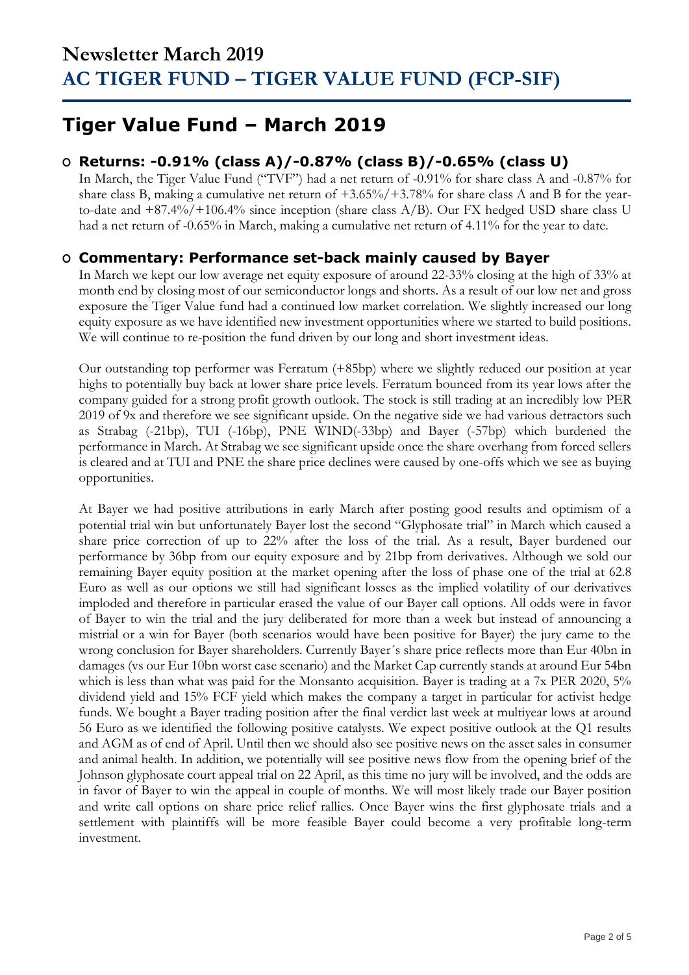## **Tiger Value Fund – March 2019**

### **O Returns: -0.91% (class A)/-0.87% (class B)/-0.65% (class U)**

In March, the Tiger Value Fund ("TVF") had a net return of -0.91% for share class A and -0.87% for share class B, making a cumulative net return of +3.65%/+3.78% for share class A and B for the yearto-date and  $+87.4\%/+106.4\%$  since inception (share class A/B). Our FX hedged USD share class U had a net return of -0.65% in March, making a cumulative net return of 4.11% for the year to date.

### **O Commentary: Performance set-back mainly caused by Bayer**

In March we kept our low average net equity exposure of around 22-33% closing at the high of 33% at month end by closing most of our semiconductor longs and shorts. As a result of our low net and gross exposure the Tiger Value fund had a continued low market correlation. We slightly increased our long equity exposure as we have identified new investment opportunities where we started to build positions. We will continue to re-position the fund driven by our long and short investment ideas.

Our outstanding top performer was Ferratum (+85bp) where we slightly reduced our position at year highs to potentially buy back at lower share price levels. Ferratum bounced from its year lows after the company guided for a strong profit growth outlook. The stock is still trading at an incredibly low PER 2019 of 9x and therefore we see significant upside. On the negative side we had various detractors such as Strabag (-21bp), TUI (-16bp), PNE WIND(-33bp) and Bayer (-57bp) which burdened the performance in March. At Strabag we see significant upside once the share overhang from forced sellers is cleared and at TUI and PNE the share price declines were caused by one-offs which we see as buying opportunities.

At Bayer we had positive attributions in early March after posting good results and optimism of a potential trial win but unfortunately Bayer lost the second "Glyphosate trial" in March which caused a share price correction of up to 22% after the loss of the trial. As a result, Bayer burdened our performance by 36bp from our equity exposure and by 21bp from derivatives. Although we sold our remaining Bayer equity position at the market opening after the loss of phase one of the trial at 62.8 Euro as well as our options we still had significant losses as the implied volatility of our derivatives imploded and therefore in particular erased the value of our Bayer call options. All odds were in favor of Bayer to win the trial and the jury deliberated for more than a week but instead of announcing a mistrial or a win for Bayer (both scenarios would have been positive for Bayer) the jury came to the wrong conclusion for Bayer shareholders. Currently Bayer´s share price reflects more than Eur 40bn in damages (vs our Eur 10bn worst case scenario) and the Market Cap currently stands at around Eur 54bn which is less than what was paid for the Monsanto acquisition. Bayer is trading at a 7x PER 2020, 5% dividend yield and 15% FCF yield which makes the company a target in particular for activist hedge funds. We bought a Bayer trading position after the final verdict last week at multiyear lows at around 56 Euro as we identified the following positive catalysts. We expect positive outlook at the Q1 results and AGM as of end of April. Until then we should also see positive news on the asset sales in consumer and animal health. In addition, we potentially will see positive news flow from the opening brief of the Johnson glyphosate court appeal trial on 22 April, as this time no jury will be involved, and the odds are in favor of Bayer to win the appeal in couple of months. We will most likely trade our Bayer position and write call options on share price relief rallies. Once Bayer wins the first glyphosate trials and a settlement with plaintiffs will be more feasible Bayer could become a very profitable long-term investment.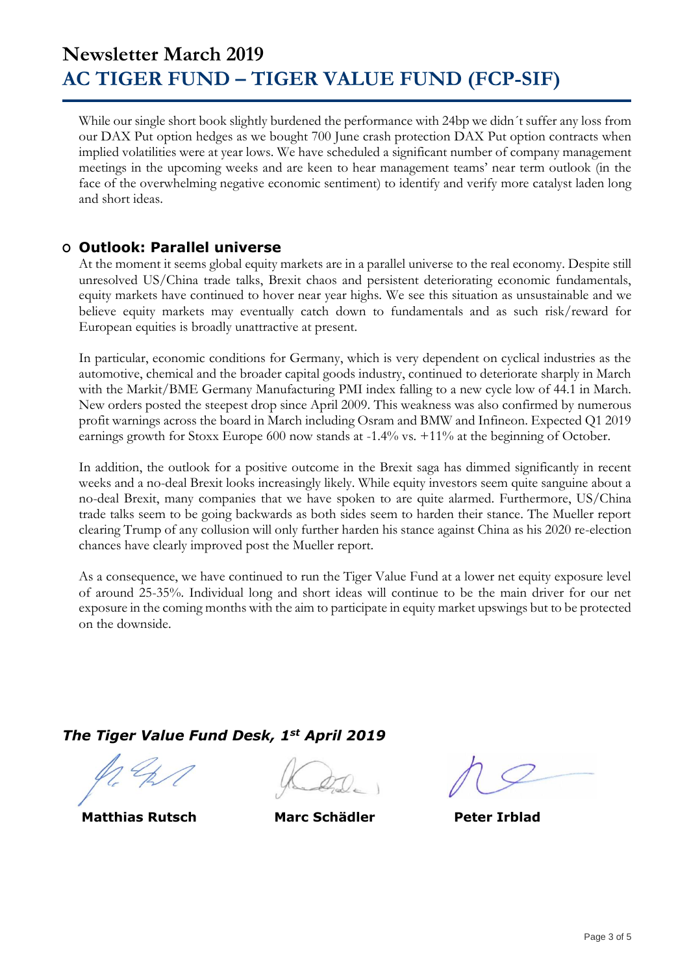While our single short book slightly burdened the performance with 24bp we didn´t suffer any loss from our DAX Put option hedges as we bought 700 June crash protection DAX Put option contracts when implied volatilities were at year lows. We have scheduled a significant number of company management meetings in the upcoming weeks and are keen to hear management teams' near term outlook (in the face of the overwhelming negative economic sentiment) to identify and verify more catalyst laden long and short ideas.

### **O Outlook: Parallel universe**

At the moment it seems global equity markets are in a parallel universe to the real economy. Despite still unresolved US/China trade talks, Brexit chaos and persistent deteriorating economic fundamentals, equity markets have continued to hover near year highs. We see this situation as unsustainable and we believe equity markets may eventually catch down to fundamentals and as such risk/reward for European equities is broadly unattractive at present.

In particular, economic conditions for Germany, which is very dependent on cyclical industries as the automotive, chemical and the broader capital goods industry, continued to deteriorate sharply in March with the Markit/BME Germany Manufacturing PMI index falling to a new cycle low of 44.1 in March. New orders posted the steepest drop since April 2009. This weakness was also confirmed by numerous profit warnings across the board in March including Osram and BMW and Infineon. Expected Q1 2019 earnings growth for Stoxx Europe 600 now stands at -1.4% vs. +11% at the beginning of October.

In addition, the outlook for a positive outcome in the Brexit saga has dimmed significantly in recent weeks and a no-deal Brexit looks increasingly likely. While equity investors seem quite sanguine about a no-deal Brexit, many companies that we have spoken to are quite alarmed. Furthermore, US/China trade talks seem to be going backwards as both sides seem to harden their stance. The Mueller report clearing Trump of any collusion will only further harden his stance against China as his 2020 re-election chances have clearly improved post the Mueller report.

As a consequence, we have continued to run the Tiger Value Fund at a lower net equity exposure level of around 25-35%. Individual long and short ideas will continue to be the main driver for our net exposure in the coming months with the aim to participate in equity market upswings but to be protected on the downside.

### *The Tiger Value Fund Desk, 1st April 2019*

 **Matthias Rutsch Marc Schädler Peter Irblad**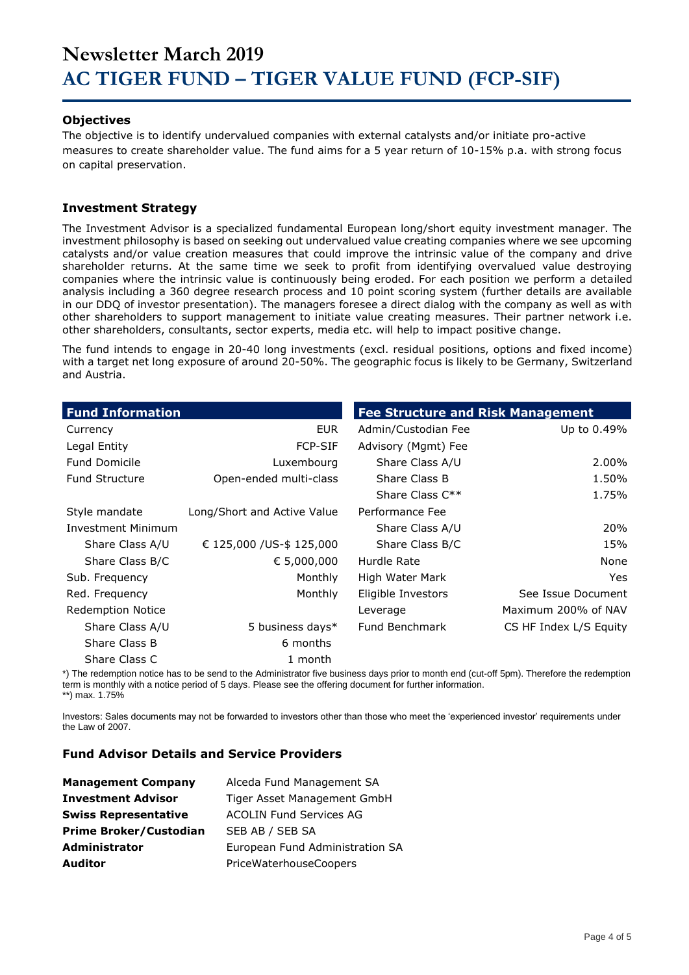#### **Objectives**

The objective is to identify undervalued companies with external catalysts and/or initiate pro-active measures to create shareholder value. The fund aims for a 5 year return of 10-15% p.a. with strong focus on capital preservation.

#### **Investment Strategy**

The Investment Advisor is a specialized fundamental European long/short equity investment manager. The investment philosophy is based on seeking out undervalued value creating companies where we see upcoming catalysts and/or value creation measures that could improve the intrinsic value of the company and drive shareholder returns. At the same time we seek to profit from identifying overvalued value destroying companies where the intrinsic value is continuously being eroded. For each position we perform a detailed analysis including a 360 degree research process and 10 point scoring system (further details are available in our DDQ of investor presentation). The managers foresee a direct dialog with the company as well as with other shareholders to support management to initiate value creating measures. Their partner network i.e. other shareholders, consultants, sector experts, media etc. will help to impact positive change.

The fund intends to engage in 20-40 long investments (excl. residual positions, options and fixed income) with a target net long exposure of around 20-50%. The geographic focus is likely to be Germany, Switzerland and Austria.

| <b>Fund Information</b>   |                             | <b>Fee Structure and Risk Management</b> |                        |
|---------------------------|-----------------------------|------------------------------------------|------------------------|
| Currency                  | EUR.                        | Admin/Custodian Fee                      | Up to 0.49%            |
| Legal Entity              | <b>FCP-SIF</b>              | Advisory (Mgmt) Fee                      |                        |
| <b>Fund Domicile</b>      | Luxembourg                  | Share Class A/U                          | 2.00%                  |
| <b>Fund Structure</b>     | Open-ended multi-class      | Share Class B                            | 1.50%                  |
|                           |                             | Share Class $C^{**}$                     | 1.75%                  |
| Style mandate             | Long/Short and Active Value | Performance Fee                          |                        |
| <b>Investment Minimum</b> |                             | Share Class A/U                          | 20%                    |
| Share Class A/U           | € 125,000 /US-\$ 125,000    | Share Class B/C                          | 15%                    |
| Share Class B/C           | € 5,000,000                 | Hurdle Rate                              | None                   |
| Sub. Frequency            | Monthly                     | High Water Mark                          | Yes.                   |
| Red. Frequency            | Monthly                     | Eligible Investors                       | See Issue Document     |
| <b>Redemption Notice</b>  |                             | Leverage                                 | Maximum 200% of NAV    |
| Share Class A/U           | 5 business days*            | <b>Fund Benchmark</b>                    | CS HF Index L/S Equity |
| Share Class B             | 6 months                    |                                          |                        |
| Share Class C             | 1 month                     |                                          |                        |

\*) The redemption notice has to be send to the Administrator five business days prior to month end (cut-off 5pm). Therefore the redemption term is monthly with a notice period of 5 days. Please see the offering document for further information. \*\*) max. 1.75%

Investors: Sales documents may not be forwarded to investors other than those who meet the 'experienced investor' requirements under the Law of 2007.

#### **Fund Advisor Details and Service Providers**

| <b>Management Company</b>     | Alceda Fund Management SA       |
|-------------------------------|---------------------------------|
| <b>Investment Advisor</b>     | Tiger Asset Management GmbH     |
| <b>Swiss Representative</b>   | <b>ACOLIN Fund Services AG</b>  |
| <b>Prime Broker/Custodian</b> | SEB AB / SEB SA                 |
| <b>Administrator</b>          | European Fund Administration SA |
| <b>Auditor</b>                | PriceWaterhouseCoopers          |